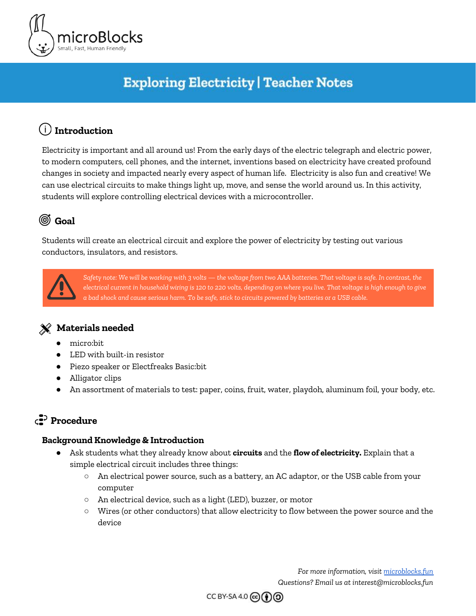

# **Exploring Electricity | Teacher Notes**

## **Introduction**

Electricity is important and all around us! From the early days of the electric telegraph and electric power, to modern computers, cell phones, and the internet, inventions based on electricity have created profound changes in society and impacted nearly every aspect of human life. Electricity is also fun and creative! We can use electrical circuits to make things light up, move, and sense the world around us. In this activity, students will explore controlling electrical devices with a microcontroller.

# **Goal**

Students will create an electrical circuit and explore the power of electricity by testing out various conductors, insulators, and resistors.



Safety note: We will be working with 3 volts — the voltage from two AAA batteries. That voltage is safe. In contrast, the electrical current in household wiring is 120 to 220 volts, depending on where you live. That voltage is high enough to give a bad shock and cause serious harm. To be safe, stick to circuits powered by batteries or a USB cable.

### **Materials needed**

- micro:bit
- LED with built-in resistor
- Piezo speaker or Electfreaks Basic:bit
- Alligator clips
- An assortment of materials to test: paper, coins, fruit, water, playdoh, aluminum foil, your body, etc.

## **Procedure**

#### **Background Knowledge & Introduction**

- Ask students what they already know about **circuits** and the **flow of electricity.** Explain that a simple electrical circuit includes three things:
	- An electrical power source, such as a battery, an AC adaptor, or the USB cable from your computer
	- An electrical device, such as a light (LED), buzzer, or motor
	- Wires (or other conductors) that allow electricity to flow between the power source and the device

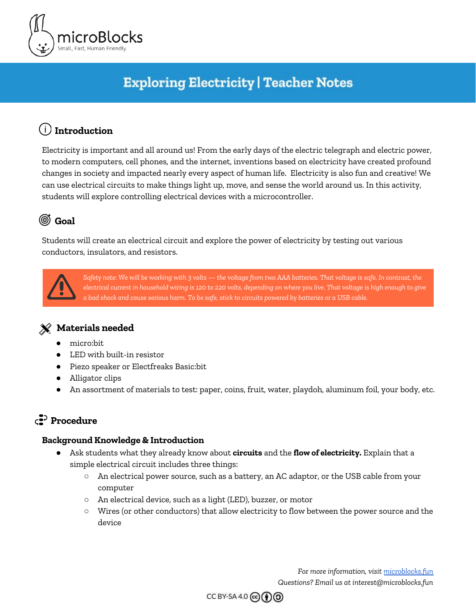

### Activity 1 | Create a Simple Circuit

In this activity, students will make a simple circuit using the micro:bit as the power source, an LED as the output device, and alligator clips as the wires to connect them together into a circuit.

The key idea of circuits is that electricity flows from the positive terminal of the power source (often marked "+" or "3v" or "V") through the device then back to the negative or "ground" terminal of the power source. This path creates a loop or "complete circuit" through which electricity can flow. If there is a break anywhere in this path, the electricity cannot flow and the device does not turn on. That is called an *open circuit*.



A *short circuit* is a direct path from the positive to the negative terminal of the power source that does not go through any device. A short circuit allows too much electricity to flow at once, like releasing all the water behind a dam. In your home, a short circuit in an appliance will trip a circuit breaker or blow a fuse. With the micro:bit, a momentary short circuit will just cause it to reset but a short circuit that persists for many seconds will make the micro:bit get hot and could damage it. To avoid that, always be sure there is an LED or other device in your circuit.

Connect one alligator clip between the "3v" pad of the micro:bit and one leg of the LED. Connect the other alligator clip between the other leg of the LED and the "GND" pad. The LED should light up. If it does not, reverse the wires connected to the LED. An LED only conducts electricity in one direction, like a one-way street. Note a shortcut: the longer leg of the LED should be connected to the "3v" pad.

When there is a complete circuit, the LED lights up. The electricity starts at the "3v" pad. It flows through one alligator clip to the LED, then out the other leg of the LED and through the other alligator clip to the "GND" pad. Disconnecting an alligator clip will open the circuit, preventing the electricity from flowing and will make the LED turn off. That is exactly how a switch works.



#### *Fun Fact!*

The word *electricity* comes from *elektron*, the Greek word for amber. Amber is a kind of rock that is actually fossilized tree resin. Around 600 BC, the Greek philosopher Thales of Miletus noted that a piece of amber rubbed with cat's fur would attract light objects such as feathers. No one knows what the cat thought about his experiments.

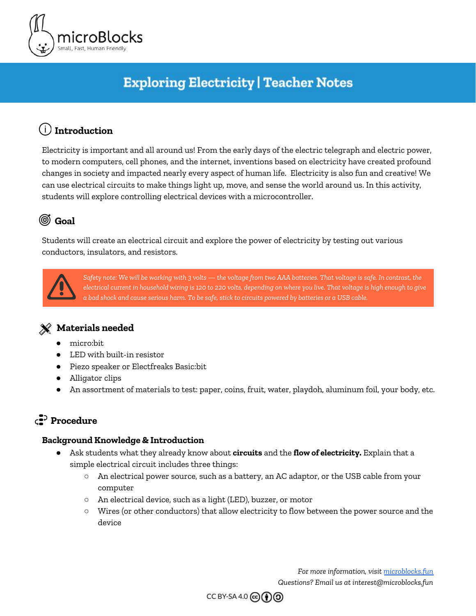

**Activity 2 | Explore Conductors, Insulators, and Resistors** 

To begin the second part of this activity, introduce the vocabulary of **conductors, insulators,** and **resistors**.

- Conductors: materials that allow electricity to flow through them easily
- Insulators: materials that do not allow electricity to flow at all
- Resistors: materials that allow limited electricity to flow

First, we will write a script that will allow us to explore the difference between conductors, insulators, and resistors. The amount of electrical current will control the pitch of a tone played through an external sound device connected to the micro:bit - the higher the pitch, the better the conductor! If using a piezo speaker, use alligator clips to connect the speaker to the pads marked "0" and "GND" on the micro:bit. If using the basic:bit, make sure the speaker is turned on.



Have students create the following script (or provide it in a starter project):



*Teaching Note:* What does this script do? The magic here is the *read analog pin* block. This gives a number between 0 and 1023 based on the voltage that it senses. When you touch the two alligator clips to something that conducts electricity, at least a little, then a tiny bit of current flows from the 3v pin to pin 1, raising the voltage and causing the *read analog pin* to return a bigger number. If the alligator clips are connected to an insulator or not connected to anything at all, no current can flow, so the pin settles to a lower voltage. It doesn't go all the way down to 0 because the micro:bit circuit has a built-in resistor that lets a very tiny bit of current flow from 3v to pin 1. The pin's resting level is around 350. The script subtracts that number so the "pitch" variable will be about 0 when the alligator clips are not connected to anything. The rest of the script turns the "pitch" number into a sound you can hear through the speaker. The higher the pitch, the shorter the wait times, resulting in a higher frequency sound.